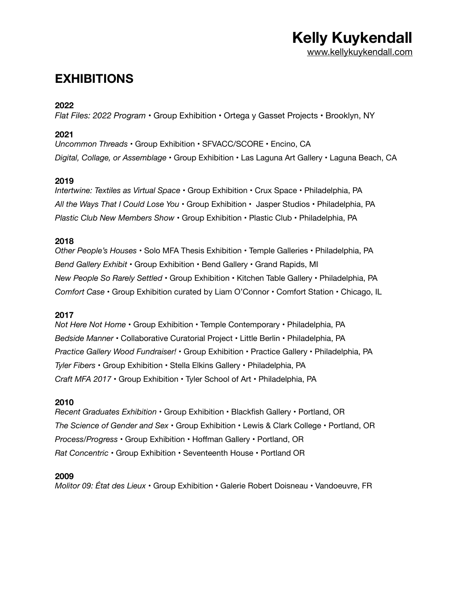## **Kelly Kuykendall**  [www.kellykuykendall.com](http://www.kellykuykendall.com)

## **EXHIBITIONS**

### **2022**

*Flat Files: 2022 Program* • Group Exhibition • Ortega y Gasset Projects • Brooklyn, NY

### **2021**

*Uncommon Threads* • Group Exhibition • SFVACC/SCORE • Encino, CA *Digital, Collage, or Assemblage* • Group Exhibition • Las Laguna Art Gallery • Laguna Beach, CA

### **2019**

*Intertwine: Textiles as Virtual Space* • Group Exhibition • Crux Space • Philadelphia, PA *All the Ways That I Could Lose You* • Group Exhibition • Jasper Studios • Philadelphia, PA *Plastic Club New Members Show* • Group Exhibition • Plastic Club • Philadelphia, PA

### **2018**

*Other People's Houses* • Solo MFA Thesis Exhibition • Temple Galleries • Philadelphia, PA *Bend Gallery Exhibit* • Group Exhibition • Bend Gallery • Grand Rapids, MI *New People So Rarely Settled* • Group Exhibition • Kitchen Table Gallery • Philadelphia, PA *Comfort Case* • Group Exhibition curated by Liam O'Connor • Comfort Station • Chicago, IL

#### **2017**

*Not Here Not Home* • Group Exhibition • Temple Contemporary • Philadelphia, PA *Bedside Manner* • Collaborative Curatorial Project • Little Berlin • Philadelphia, PA *Practice Gallery Wood Fundraiser!* • Group Exhibition • Practice Gallery • Philadelphia, PA *Tyler Fibers* • Group Exhibition • Stella Elkins Gallery • Philadelphia, PA *Craft MFA 2017* • Group Exhibition • Tyler School of Art • Philadelphia, PA

#### **2010**

*Recent Graduates Exhibition* • Group Exhibition • Blackfish Gallery • Portland, OR *The Science of Gender and Sex* • Group Exhibition • Lewis & Clark College • Portland, OR *Process/Progress* • Group Exhibition • Hoffman Gallery • Portland, OR *Rat Concentric* • Group Exhibition • Seventeenth House • Portland OR

#### **2009**

*Molitor 09: État des Lieux* • Group Exhibition • Galerie Robert Doisneau • Vandoeuvre, FR